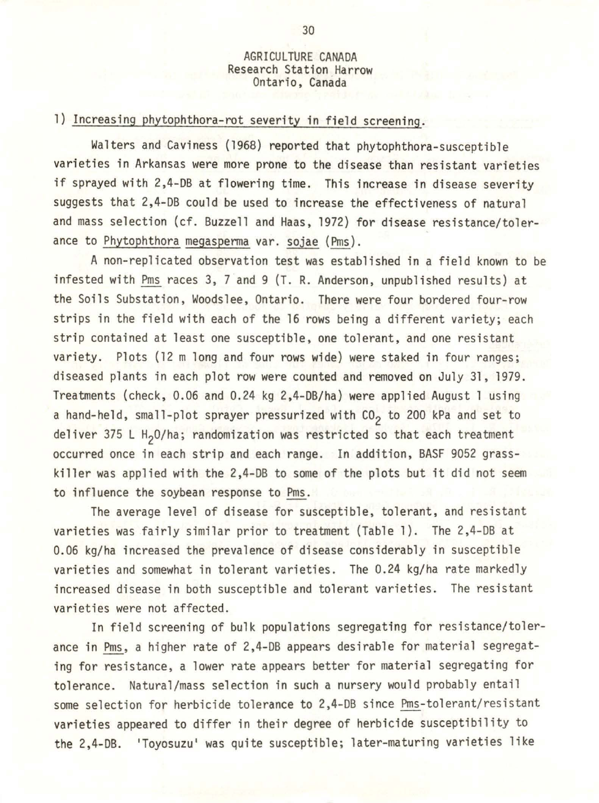## AGRICULTURE CANADA Research Station Harrow Ontario, Canada

## 1) Increasing phytophthora-rot severity in field screening.

Walters and Caviness (1968) reported that phytophthora-susceptible varieties in Arkansas were more prone to the disease than resistant varieties if sprayed with 2,4-DB at flowering time. This increase in disease severity suggests that 2,4-08 could be used to increase the effectiveness of natural and mass selection (cf. Buzzell and Haas, 1972) for disease resistance/tolerance to Phytophthora megaspenna var. sojae (Pms).

A non-replicated observation test was established in a field known to be infested with Pms races 3, 7 and 9 (T. R. Anderson, unpublished results) at the Soils Substation, Woodslee, Ontario. There were four bordered four-row strips in the field with each of the 16 rows being a different variety; each strip contained at least one susceptible, one tolerant, and one resistant variety. Plots (12 m long and four rows wide) were staked in four ranges; diseased plants in each plot row were counted and removed on July 31, 1979. Treatments (check,  $0.06$  and  $0.24$  kg  $2,4-DB/ha$ ) were applied August 1 using a hand-held, small-plot sprayer pressurized with  $CO<sub>2</sub>$  to 200 kPa and set to deliver 375 L H<sub>2</sub>O/ha; randomization was restricted so that each treatment occurred once in each strip and each range. In addition, BASF 9052 grasskiller was applied with the 2,4-DB to some of the plots but it did not seem to influence the soybean response to Pms.

The average level of disease for susceptible, tolerant, and resistant varieties was fairly similar prior to treatment (Table 1). The 2,4-DB at 0.06 kg/ha increased the prevalence of disease considerably in susceptible varieties and somewhat in tolerant varieties. The 0.24 kg/ha rate markedly increased disease in both susceptible and tolerant varieties. The resistant varieties were not affected.

In field screening of bulk populations segregating for resistance/tolerance in Pms, a higher rate of 2,4-DB appears desirable for material segregating for resistance, a lower rate appears better for material segregating for tolerance. Natural/mass selection in such a nursery would probably entail some selection for herbicide tolerance to 2,4-DB since Pms-tolerant/ resistant va rieties appeared to differ in their degree of herbicide susceptibility to the 2,4-08. 'Toyosuzu' was quite susceptible; later-maturing varieties like